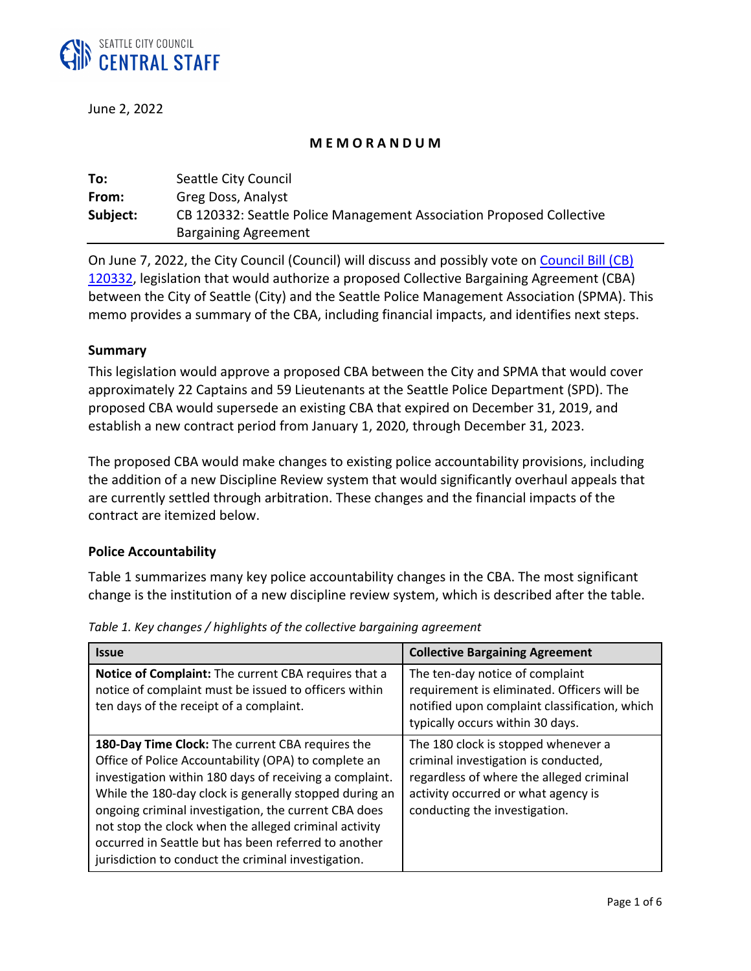

June 2, 2022

### **M E M O R A N D U M**

| To:      | Seattle City Council                                                 |
|----------|----------------------------------------------------------------------|
| From:    | Greg Doss, Analyst                                                   |
| Subject: | CB 120332: Seattle Police Management Association Proposed Collective |
|          | <b>Bargaining Agreement</b>                                          |

On June 7, 2022, the City Council (Council) will discuss and possibly vote on [Council Bill \(CB\)](http://seattle.legistar.com/LegislationDetail.aspx?ID=5661417&GUID=33E4FD5D-368C-4FBB-85AD-200F219F518A)  [120332,](http://seattle.legistar.com/LegislationDetail.aspx?ID=5661417&GUID=33E4FD5D-368C-4FBB-85AD-200F219F518A) legislation that would authorize a proposed Collective Bargaining Agreement (CBA) between the City of Seattle (City) and the Seattle Police Management Association (SPMA). This memo provides a summary of the CBA, including financial impacts, and identifies next steps.

### **Summary**

This legislation would approve a proposed CBA between the City and SPMA that would cover approximately 22 Captains and 59 Lieutenants at the Seattle Police Department (SPD). The proposed CBA would supersede an existing CBA that expired on December 31, 2019, and establish a new contract period from January 1, 2020, through December 31, 2023.

The proposed CBA would make changes to existing police accountability provisions, including the addition of a new Discipline Review system that would significantly overhaul appeals that are currently settled through arbitration. These changes and the financial impacts of the contract are itemized below.

## **Police Accountability**

Table 1 summarizes many key police accountability changes in the CBA. The most significant change is the institution of a new discipline review system, which is described after the table.

| <b>Issue</b>                                                                                                                                                                                                                                                                                                                                                                                                                                                  | <b>Collective Bargaining Agreement</b>                                                                                                                                                          |
|---------------------------------------------------------------------------------------------------------------------------------------------------------------------------------------------------------------------------------------------------------------------------------------------------------------------------------------------------------------------------------------------------------------------------------------------------------------|-------------------------------------------------------------------------------------------------------------------------------------------------------------------------------------------------|
| Notice of Complaint: The current CBA requires that a<br>notice of complaint must be issued to officers within<br>ten days of the receipt of a complaint.                                                                                                                                                                                                                                                                                                      | The ten-day notice of complaint<br>requirement is eliminated. Officers will be<br>notified upon complaint classification, which<br>typically occurs within 30 days.                             |
| 180-Day Time Clock: The current CBA requires the<br>Office of Police Accountability (OPA) to complete an<br>investigation within 180 days of receiving a complaint.<br>While the 180-day clock is generally stopped during an<br>ongoing criminal investigation, the current CBA does<br>not stop the clock when the alleged criminal activity<br>occurred in Seattle but has been referred to another<br>jurisdiction to conduct the criminal investigation. | The 180 clock is stopped whenever a<br>criminal investigation is conducted,<br>regardless of where the alleged criminal<br>activity occurred or what agency is<br>conducting the investigation. |

*Table 1. Key changes / highlights of the collective bargaining agreement*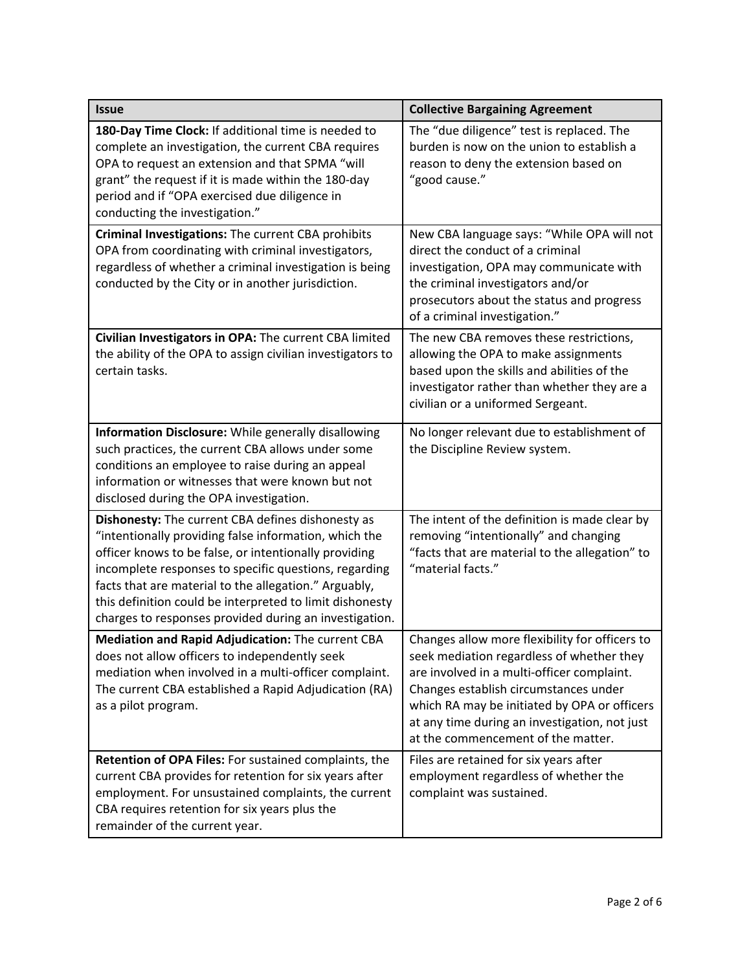| <b>Issue</b>                                                                                                                                                                                                                                                                                                                                                                                                | <b>Collective Bargaining Agreement</b>                                                                                                                                                                                                                                                                                    |  |  |
|-------------------------------------------------------------------------------------------------------------------------------------------------------------------------------------------------------------------------------------------------------------------------------------------------------------------------------------------------------------------------------------------------------------|---------------------------------------------------------------------------------------------------------------------------------------------------------------------------------------------------------------------------------------------------------------------------------------------------------------------------|--|--|
| 180-Day Time Clock: If additional time is needed to<br>complete an investigation, the current CBA requires<br>OPA to request an extension and that SPMA "will<br>grant" the request if it is made within the 180-day<br>period and if "OPA exercised due diligence in<br>conducting the investigation."                                                                                                     | The "due diligence" test is replaced. The<br>burden is now on the union to establish a<br>reason to deny the extension based on<br>"good cause."                                                                                                                                                                          |  |  |
| Criminal Investigations: The current CBA prohibits<br>OPA from coordinating with criminal investigators,<br>regardless of whether a criminal investigation is being<br>conducted by the City or in another jurisdiction.                                                                                                                                                                                    | New CBA language says: "While OPA will not<br>direct the conduct of a criminal<br>investigation, OPA may communicate with<br>the criminal investigators and/or<br>prosecutors about the status and progress<br>of a criminal investigation."                                                                              |  |  |
| Civilian Investigators in OPA: The current CBA limited<br>the ability of the OPA to assign civilian investigators to<br>certain tasks.                                                                                                                                                                                                                                                                      | The new CBA removes these restrictions,<br>allowing the OPA to make assignments<br>based upon the skills and abilities of the<br>investigator rather than whether they are a<br>civilian or a uniformed Sergeant.                                                                                                         |  |  |
| <b>Information Disclosure:</b> While generally disallowing<br>such practices, the current CBA allows under some<br>conditions an employee to raise during an appeal<br>information or witnesses that were known but not<br>disclosed during the OPA investigation.                                                                                                                                          | No longer relevant due to establishment of<br>the Discipline Review system.                                                                                                                                                                                                                                               |  |  |
| Dishonesty: The current CBA defines dishonesty as<br>"intentionally providing false information, which the<br>officer knows to be false, or intentionally providing<br>incomplete responses to specific questions, regarding<br>facts that are material to the allegation." Arguably,<br>this definition could be interpreted to limit dishonesty<br>charges to responses provided during an investigation. | The intent of the definition is made clear by<br>removing "intentionally" and changing<br>"facts that are material to the allegation" to<br>"material facts."                                                                                                                                                             |  |  |
| Mediation and Rapid Adjudication: The current CBA<br>does not allow officers to independently seek<br>mediation when involved in a multi-officer complaint.<br>The current CBA established a Rapid Adjudication (RA)<br>as a pilot program.                                                                                                                                                                 | Changes allow more flexibility for officers to<br>seek mediation regardless of whether they<br>are involved in a multi-officer complaint.<br>Changes establish circumstances under<br>which RA may be initiated by OPA or officers<br>at any time during an investigation, not just<br>at the commencement of the matter. |  |  |
| Retention of OPA Files: For sustained complaints, the<br>current CBA provides for retention for six years after<br>employment. For unsustained complaints, the current<br>CBA requires retention for six years plus the<br>remainder of the current year.                                                                                                                                                   | Files are retained for six years after<br>employment regardless of whether the<br>complaint was sustained.                                                                                                                                                                                                                |  |  |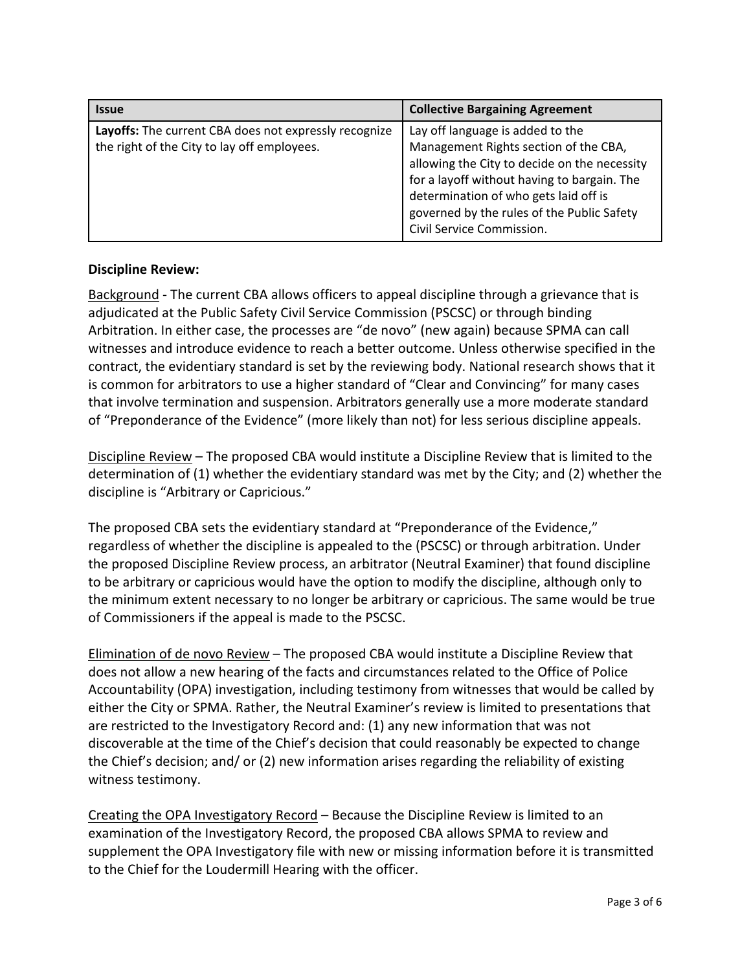| <b>Issue</b>                                                                                         | <b>Collective Bargaining Agreement</b>                                                                                                                                                                                                                                                       |  |  |
|------------------------------------------------------------------------------------------------------|----------------------------------------------------------------------------------------------------------------------------------------------------------------------------------------------------------------------------------------------------------------------------------------------|--|--|
| Layoffs: The current CBA does not expressly recognize<br>the right of the City to lay off employees. | Lay off language is added to the<br>Management Rights section of the CBA,<br>allowing the City to decide on the necessity<br>for a layoff without having to bargain. The<br>determination of who gets laid off is<br>governed by the rules of the Public Safety<br>Civil Service Commission. |  |  |

## **Discipline Review:**

Background - The current CBA allows officers to appeal discipline through a grievance that is adjudicated at the Public Safety Civil Service Commission (PSCSC) or through binding Arbitration. In either case, the processes are "de novo" (new again) because SPMA can call witnesses and introduce evidence to reach a better outcome. Unless otherwise specified in the contract, the evidentiary standard is set by the reviewing body. National research shows that it is common for arbitrators to use a higher standard of "Clear and Convincing" for many cases that involve termination and suspension. Arbitrators generally use a more moderate standard of "Preponderance of the Evidence" (more likely than not) for less serious discipline appeals.

Discipline Review – The proposed CBA would institute a Discipline Review that is limited to the determination of (1) whether the evidentiary standard was met by the City; and (2) whether the discipline is "Arbitrary or Capricious."

The proposed CBA sets the evidentiary standard at "Preponderance of the Evidence," regardless of whether the discipline is appealed to the (PSCSC) or through arbitration. Under the proposed Discipline Review process, an arbitrator (Neutral Examiner) that found discipline to be arbitrary or capricious would have the option to modify the discipline, although only to the minimum extent necessary to no longer be arbitrary or capricious. The same would be true of Commissioners if the appeal is made to the PSCSC.

Elimination of de novo Review – The proposed CBA would institute a Discipline Review that does not allow a new hearing of the facts and circumstances related to the Office of Police Accountability (OPA) investigation, including testimony from witnesses that would be called by either the City or SPMA. Rather, the Neutral Examiner's review is limited to presentations that are restricted to the Investigatory Record and: (1) any new information that was not discoverable at the time of the Chief's decision that could reasonably be expected to change the Chief's decision; and/ or (2) new information arises regarding the reliability of existing witness testimony.

Creating the OPA Investigatory Record – Because the Discipline Review is limited to an examination of the Investigatory Record, the proposed CBA allows SPMA to review and supplement the OPA Investigatory file with new or missing information before it is transmitted to the Chief for the Loudermill Hearing with the officer.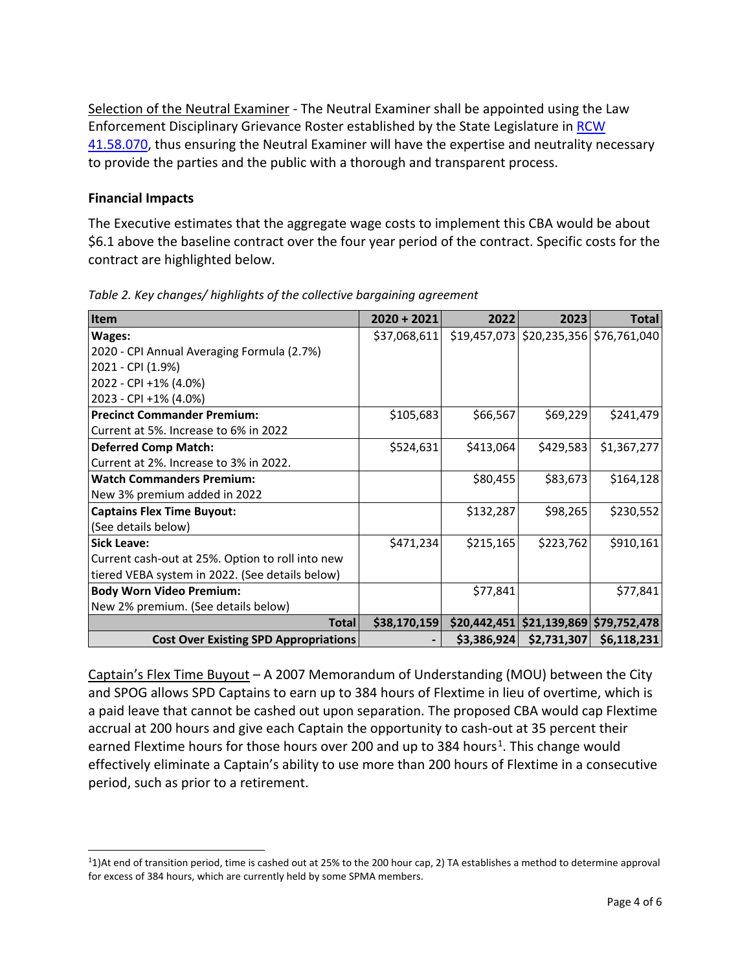Selection of the Neutral Examiner - The Neutral Examiner shall be appointed using the Law Enforcement Disciplinary Grievance Roster established by the State Legislature in [RCW](http://app.leg.wa.gov/RCW/default.aspx?cite=41.58.070)  [41.58.070,](http://app.leg.wa.gov/RCW/default.aspx?cite=41.58.070) thus ensuring the Neutral Examiner will have the expertise and neutrality necessary to provide the parties and the public with a thorough and transparent process.

### **Financial Impacts**

The Executive estimates that the aggregate wage costs to implement this CBA would be about \$6.1 above the baseline contract over the four year period of the contract. Specific costs for the contract are highlighted below.

| Item                                             | $2020 + 2021$ | 2022        | 2023                                      | <b>Total</b> |
|--------------------------------------------------|---------------|-------------|-------------------------------------------|--------------|
| Wages:                                           | \$37,068,611  |             | \$19,457,073 \$20,235,356 \$76,761,040    |              |
| 2020 - CPI Annual Averaging Formula (2.7%)       |               |             |                                           |              |
| 2021 - CPI (1.9%)                                |               |             |                                           |              |
| 2022 - CPI +1% (4.0%)                            |               |             |                                           |              |
| 2023 - CPI +1% (4.0%)                            |               |             |                                           |              |
| <b>Precinct Commander Premium:</b>               | \$105,683     | \$66,567    | \$69,229                                  | \$241,479    |
| Current at 5%. Increase to 6% in 2022            |               |             |                                           |              |
| <b>Deferred Comp Match:</b>                      | \$524,631     | \$413,064   | \$429,583                                 | \$1,367,277  |
| Current at 2%. Increase to 3% in 2022.           |               |             |                                           |              |
| <b>Watch Commanders Premium:</b>                 |               | \$80,455    | \$83,673                                  | \$164,128    |
| New 3% premium added in 2022                     |               |             |                                           |              |
| <b>Captains Flex Time Buyout:</b>                |               | \$132,287   | \$98,265                                  | \$230,552    |
| (See details below)                              |               |             |                                           |              |
| <b>Sick Leave:</b>                               | \$471,234     | \$215,165   | \$223,762                                 | \$910,161    |
| Current cash-out at 25%. Option to roll into new |               |             |                                           |              |
| tiered VEBA system in 2022. (See details below)  |               |             |                                           |              |
| <b>Body Worn Video Premium:</b>                  |               | \$77,841    |                                           | \$77,841     |
| New 2% premium. (See details below)              |               |             |                                           |              |
| <b>Total</b>                                     | \$38,170,159  |             | $$20,442,451$ $$21,139,869$ $$79,752,478$ |              |
| <b>Cost Over Existing SPD Appropriations</b>     |               | \$3,386,924 | \$2,731,307                               | \$6,118,231  |

*Table 2. Key changes/ highlights of the collective bargaining agreement*

Captain's Flex Time Buyout – A 2007 Memorandum of Understanding (MOU) between the City and SPOG allows SPD Captains to earn up to 384 hours of Flextime in lieu of overtime, which is a paid leave that cannot be cashed out upon separation. The proposed CBA would cap Flextime accrual at 200 hours and give each Captain the opportunity to cash-out at 35 percent their earned Flextime hours for those hours over 200 and up to 384 hours<sup>[1](#page-3-0)</sup>. This change would effectively eliminate a Captain's ability to use more than 200 hours of Flextime in a consecutive period, such as prior to a retirement.

<span id="page-3-0"></span><sup>11)</sup>At end of transition period, time is cashed out at 25% to the 200 hour cap, 2) TA establishes a method to determine approval for excess of 384 hours, which are currently held by some SPMA members.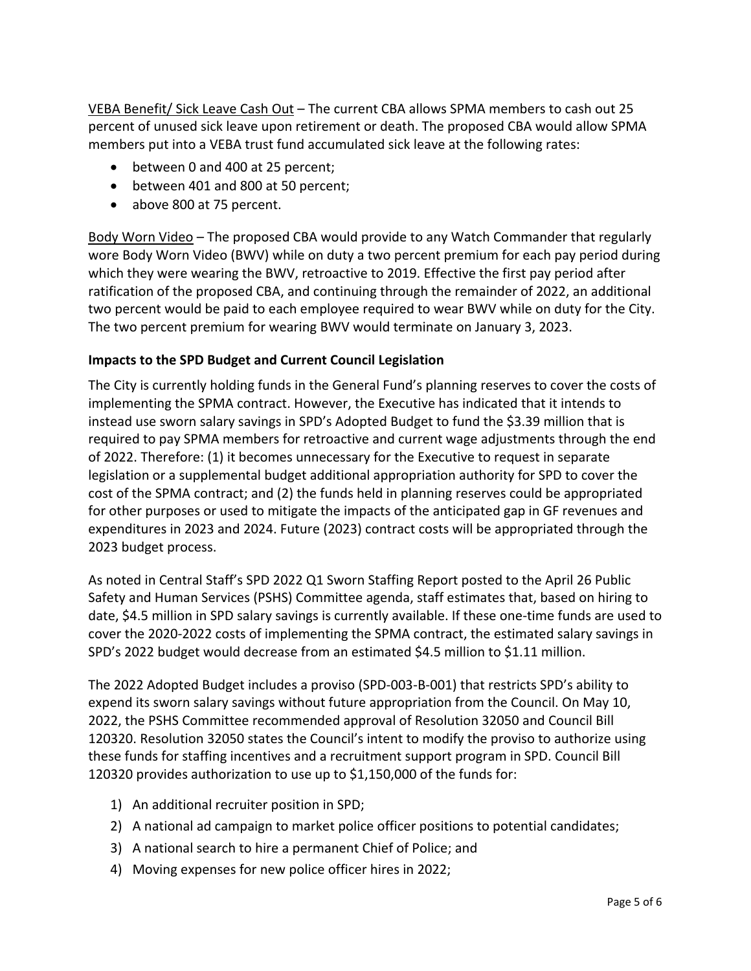VEBA Benefit/ Sick Leave Cash Out – The current CBA allows SPMA members to cash out 25 percent of unused sick leave upon retirement or death. The proposed CBA would allow SPMA members put into a VEBA trust fund accumulated sick leave at the following rates:

- between 0 and 400 at 25 percent;
- between 401 and 800 at 50 percent;
- above 800 at 75 percent.

Body Worn Video – The proposed CBA would provide to any Watch Commander that regularly wore Body Worn Video (BWV) while on duty a two percent premium for each pay period during which they were wearing the BWV, retroactive to 2019. Effective the first pay period after ratification of the proposed CBA, and continuing through the remainder of 2022, an additional two percent would be paid to each employee required to wear BWV while on duty for the City. The two percent premium for wearing BWV would terminate on January 3, 2023.

# **Impacts to the SPD Budget and Current Council Legislation**

The City is currently holding funds in the General Fund's planning reserves to cover the costs of implementing the SPMA contract. However, the Executive has indicated that it intends to instead use sworn salary savings in SPD's Adopted Budget to fund the \$3.39 million that is required to pay SPMA members for retroactive and current wage adjustments through the end of 2022. Therefore: (1) it becomes unnecessary for the Executive to request in separate legislation or a supplemental budget additional appropriation authority for SPD to cover the cost of the SPMA contract; and (2) the funds held in planning reserves could be appropriated for other purposes or used to mitigate the impacts of the anticipated gap in GF revenues and expenditures in 2023 and 2024. Future (2023) contract costs will be appropriated through the 2023 budget process.

As noted in Central Staff's SPD 2022 Q1 Sworn Staffing Report posted to the April 26 Public Safety and Human Services (PSHS) Committee agenda, staff estimates that, based on hiring to date, \$4.5 million in SPD salary savings is currently available. If these one-time funds are used to cover the 2020-2022 costs of implementing the SPMA contract, the estimated salary savings in SPD's 2022 budget would decrease from an estimated \$4.5 million to \$1.11 million.

The 2022 Adopted Budget includes a proviso (SPD-003-B-001) that restricts SPD's ability to expend its sworn salary savings without future appropriation from the Council. On May 10, 2022, the PSHS Committee recommended approval of Resolution 32050 and Council Bill 120320. Resolution 32050 states the Council's intent to modify the proviso to authorize using these funds for staffing incentives and a recruitment support program in SPD. Council Bill 120320 provides authorization to use up to \$1,150,000 of the funds for:

- 1) An additional recruiter position in SPD;
- 2) A national ad campaign to market police officer positions to potential candidates;
- 3) A national search to hire a permanent Chief of Police; and
- 4) Moving expenses for new police officer hires in 2022;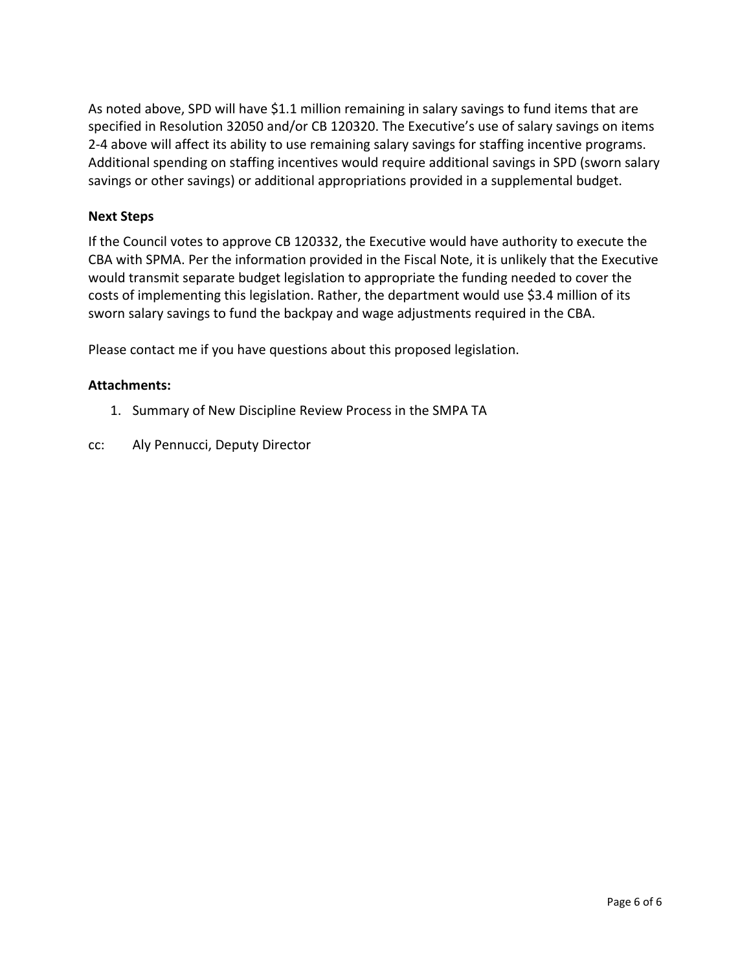As noted above, SPD will have \$1.1 million remaining in salary savings to fund items that are specified in Resolution 32050 and/or CB 120320. The Executive's use of salary savings on items 2-4 above will affect its ability to use remaining salary savings for staffing incentive programs. Additional spending on staffing incentives would require additional savings in SPD (sworn salary savings or other savings) or additional appropriations provided in a supplemental budget.

## **Next Steps**

If the Council votes to approve CB 120332, the Executive would have authority to execute the CBA with SPMA. Per the information provided in the Fiscal Note, it is unlikely that the Executive would transmit separate budget legislation to appropriate the funding needed to cover the costs of implementing this legislation. Rather, the department would use \$3.4 million of its sworn salary savings to fund the backpay and wage adjustments required in the CBA.

Please contact me if you have questions about this proposed legislation.

## **Attachments:**

- 1. Summary of New Discipline Review Process in the SMPA TA
- cc: Aly Pennucci, Deputy Director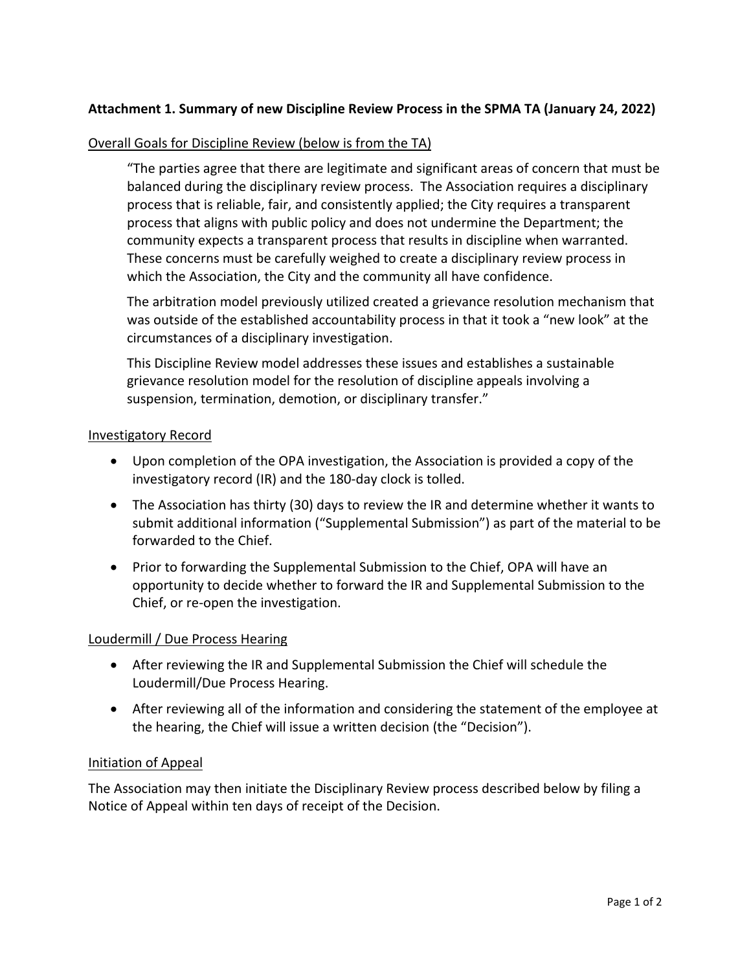# **Attachment 1. Summary of new Discipline Review Process in the SPMA TA (January 24, 2022)**

### Overall Goals for Discipline Review (below is from the TA)

"The parties agree that there are legitimate and significant areas of concern that must be balanced during the disciplinary review process. The Association requires a disciplinary process that is reliable, fair, and consistently applied; the City requires a transparent process that aligns with public policy and does not undermine the Department; the community expects a transparent process that results in discipline when warranted. These concerns must be carefully weighed to create a disciplinary review process in which the Association, the City and the community all have confidence.

The arbitration model previously utilized created a grievance resolution mechanism that was outside of the established accountability process in that it took a "new look" at the circumstances of a disciplinary investigation.

This Discipline Review model addresses these issues and establishes a sustainable grievance resolution model for the resolution of discipline appeals involving a suspension, termination, demotion, or disciplinary transfer."

### Investigatory Record

- Upon completion of the OPA investigation, the Association is provided a copy of the investigatory record (IR) and the 180-day clock is tolled.
- The Association has thirty (30) days to review the IR and determine whether it wants to submit additional information ("Supplemental Submission") as part of the material to be forwarded to the Chief.
- Prior to forwarding the Supplemental Submission to the Chief, OPA will have an opportunity to decide whether to forward the IR and Supplemental Submission to the Chief, or re-open the investigation.

### Loudermill / Due Process Hearing

- After reviewing the IR and Supplemental Submission the Chief will schedule the Loudermill/Due Process Hearing.
- After reviewing all of the information and considering the statement of the employee at the hearing, the Chief will issue a written decision (the "Decision").

### Initiation of Appeal

The Association may then initiate the Disciplinary Review process described below by filing a Notice of Appeal within ten days of receipt of the Decision.